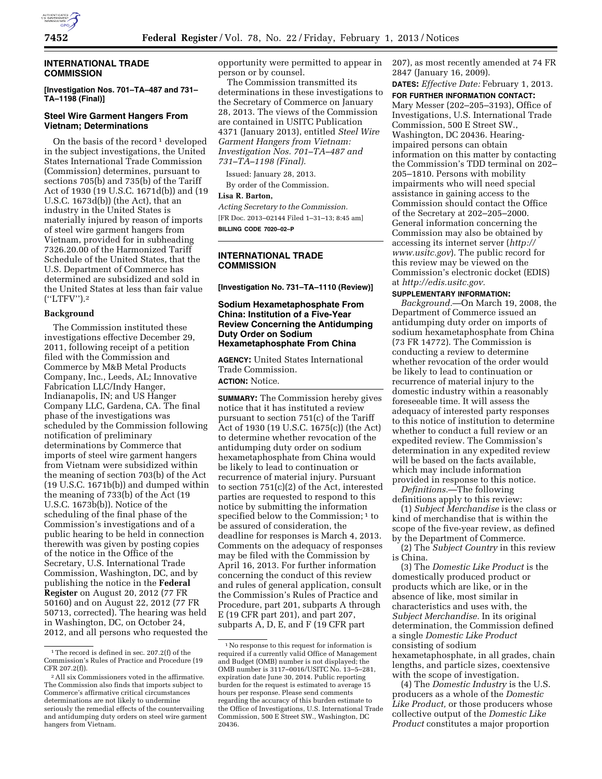

## **INTERNATIONAL TRADE COMMISSION**

**[Investigation Nos. 701–TA–487 and 731– TA–1198 (Final)]** 

## **Steel Wire Garment Hangers From Vietnam; Determinations**

On the basis of the record  $1$  developed in the subject investigations, the United States International Trade Commission (Commission) determines, pursuant to sections 705(b) and 735(b) of the Tariff Act of 1930 (19 U.S.C. 1671d(b)) and (19 U.S.C. 1673d(b)) (the Act), that an industry in the United States is materially injured by reason of imports of steel wire garment hangers from Vietnam, provided for in subheading 7326.20.00 of the Harmonized Tariff Schedule of the United States, that the U.S. Department of Commerce has determined are subsidized and sold in the United States at less than fair value (''LTFV'').2

#### **Background**

The Commission instituted these investigations effective December 29, 2011, following receipt of a petition filed with the Commission and Commerce by M&B Metal Products Company, Inc., Leeds, AL; Innovative Fabrication LLC/Indy Hanger, Indianapolis, IN; and US Hanger Company LLC, Gardena, CA. The final phase of the investigations was scheduled by the Commission following notification of preliminary determinations by Commerce that imports of steel wire garment hangers from Vietnam were subsidized within the meaning of section 703(b) of the Act (19 U.S.C. 1671b(b)) and dumped within the meaning of 733(b) of the Act (19 U.S.C. 1673b(b)). Notice of the scheduling of the final phase of the Commission's investigations and of a public hearing to be held in connection therewith was given by posting copies of the notice in the Office of the Secretary, U.S. International Trade Commission, Washington, DC, and by publishing the notice in the **Federal Register** on August 20, 2012 (77 FR 50160) and on August 22, 2012 (77 FR 50713, corrected). The hearing was held in Washington, DC, on October 24, 2012, and all persons who requested the

opportunity were permitted to appear in person or by counsel.

The Commission transmitted its determinations in these investigations to the Secretary of Commerce on January 28, 2013. The views of the Commission are contained in USITC Publication 4371 (January 2013), entitled *Steel Wire Garment Hangers from Vietnam: Investigation Nos. 701–TA–487 and 731–TA–1198 (Final).* 

Issued: January 28, 2013.

By order of the Commission.

# **Lisa R. Barton,**

*Acting Secretary to the Commission.*  [FR Doc. 2013–02144 Filed 1–31–13; 8:45 am] **BILLING CODE 7020–02–P** 

## **INTERNATIONAL TRADE COMMISSION**

**[Investigation No. 731–TA–1110 (Review)]** 

# **Sodium Hexametaphosphate From China: Institution of a Five-Year Review Concerning the Antidumping Duty Order on Sodium Hexametaphosphate From China**

**AGENCY:** United States International Trade Commission.

# **ACTION:** Notice.

**SUMMARY:** The Commission hereby gives notice that it has instituted a review pursuant to section 751(c) of the Tariff Act of 1930 (19 U.S.C. 1675(c)) (the Act) to determine whether revocation of the antidumping duty order on sodium hexametaphosphate from China would be likely to lead to continuation or recurrence of material injury. Pursuant to section 751(c)(2) of the Act, interested parties are requested to respond to this notice by submitting the information specified below to the Commission;<sup>1</sup> to be assured of consideration, the deadline for responses is March 4, 2013. Comments on the adequacy of responses may be filed with the Commission by April 16, 2013. For further information concerning the conduct of this review and rules of general application, consult the Commission's Rules of Practice and Procedure, part 201, subparts A through E (19 CFR part 201), and part 207, subparts A, D, E, and F (19 CFR part

207), as most recently amended at 74 FR 2847 (January 16, 2009).

**DATES:** *Effective Date:* February 1, 2013. **FOR FURTHER INFORMATION CONTACT:** 

Mary Messer (202–205–3193), Office of Investigations, U.S. International Trade Commission, 500 E Street SW., Washington, DC 20436. Hearingimpaired persons can obtain information on this matter by contacting the Commission's TDD terminal on 202– 205–1810. Persons with mobility impairments who will need special assistance in gaining access to the Commission should contact the Office of the Secretary at 202–205–2000. General information concerning the Commission may also be obtained by accessing its internet server (*[http://](http://www.usitc.gov)  [www.usitc.gov](http://www.usitc.gov)*). The public record for this review may be viewed on the Commission's electronic docket (EDIS) at *[http://edis.usitc.gov.](http://edis.usitc.gov)* 

## **SUPPLEMENTARY INFORMATION:**

*Background.*—On March 19, 2008, the Department of Commerce issued an antidumping duty order on imports of sodium hexametaphosphate from China (73 FR 14772). The Commission is conducting a review to determine whether revocation of the order would be likely to lead to continuation or recurrence of material injury to the domestic industry within a reasonably foreseeable time. It will assess the adequacy of interested party responses to this notice of institution to determine whether to conduct a full review or an expedited review. The Commission's determination in any expedited review will be based on the facts available, which may include information

provided in response to this notice. *Definitions.*—The following

definitions apply to this review: (1) *Subject Merchandise* is the class or kind of merchandise that is within the scope of the five-year review, as defined by the Department of Commerce.

(2) The *Subject Country* in this review is China.

(3) The *Domestic Like Product* is the domestically produced product or products which are like, or in the absence of like, most similar in characteristics and uses with, the *Subject Merchandise.* In its original determination, the Commission defined a single *Domestic Like Product*  consisting of sodium hexametaphosphate, in all grades, chain lengths, and particle sizes, coextensive with the scope of investigation.

(4) The *Domestic Industry* is the U.S. producers as a whole of the *Domestic Like Product,* or those producers whose collective output of the *Domestic Like Product* constitutes a major proportion

<sup>&</sup>lt;sup>1</sup>The record is defined in sec. 207.2(f) of the Commission's Rules of Practice and Procedure (19 CFR 207.2(f)).

<sup>2</sup>All six Commissioners voted in the affirmative. The Commission also finds that imports subject to Commerce's affirmative critical circumstances determinations are not likely to undermine seriously the remedial effects of the countervailing and antidumping duty orders on steel wire garment hangers from Vietnam.

<sup>1</sup>No response to this request for information is required if a currently valid Office of Management and Budget (OMB) number is not displayed; the OMB number is 3117–0016/USITC No. 13–5–281, expiration date June 30, 2014. Public reporting burden for the request is estimated to average 15 hours per response. Please send comments regarding the accuracy of this burden estimate to the Office of Investigations, U.S. International Trade Commission, 500 E Street SW., Washington, DC 20436.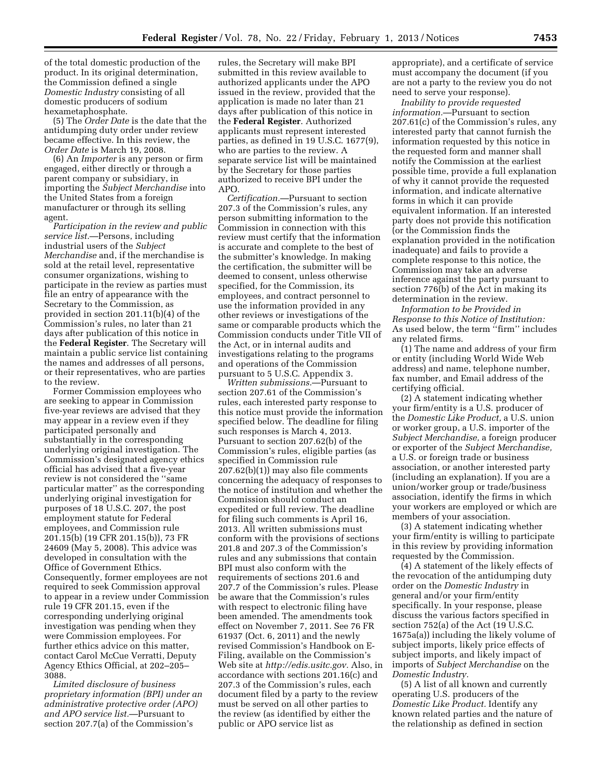of the total domestic production of the product. In its original determination, the Commission defined a single *Domestic Industry* consisting of all domestic producers of sodium hexametaphosphate.

(5) The *Order Date* is the date that the antidumping duty order under review became effective. In this review, the *Order Date* is March 19, 2008.

(6) An *Importer* is any person or firm engaged, either directly or through a parent company or subsidiary, in importing the *Subject Merchandise* into the United States from a foreign manufacturer or through its selling agent.

*Participation in the review and public service list.*—Persons, including industrial users of the *Subject Merchandise* and, if the merchandise is sold at the retail level, representative consumer organizations, wishing to participate in the review as parties must file an entry of appearance with the Secretary to the Commission, as provided in section 201.11(b)(4) of the Commission's rules, no later than 21 days after publication of this notice in the **Federal Register**. The Secretary will maintain a public service list containing the names and addresses of all persons, or their representatives, who are parties to the review.

Former Commission employees who are seeking to appear in Commission five-year reviews are advised that they may appear in a review even if they participated personally and substantially in the corresponding underlying original investigation. The Commission's designated agency ethics official has advised that a five-year review is not considered the ''same particular matter'' as the corresponding underlying original investigation for purposes of 18 U.S.C. 207, the post employment statute for Federal employees, and Commission rule 201.15(b) (19 CFR 201.15(b)), 73 FR 24609 (May 5, 2008). This advice was developed in consultation with the Office of Government Ethics. Consequently, former employees are not required to seek Commission approval to appear in a review under Commission rule 19 CFR 201.15, even if the corresponding underlying original investigation was pending when they were Commission employees. For further ethics advice on this matter, contact Carol McCue Verratti, Deputy Agency Ethics Official, at 202–205– 3088.

*Limited disclosure of business proprietary information (BPI) under an administrative protective order (APO) and APO service list.*—Pursuant to section 207.7(a) of the Commission's

rules, the Secretary will make BPI submitted in this review available to authorized applicants under the APO issued in the review, provided that the application is made no later than 21 days after publication of this notice in the **Federal Register**. Authorized applicants must represent interested parties, as defined in 19 U.S.C. 1677(9), who are parties to the review. A separate service list will be maintained by the Secretary for those parties authorized to receive BPI under the APO.

*Certification.*—Pursuant to section 207.3 of the Commission's rules, any person submitting information to the Commission in connection with this review must certify that the information is accurate and complete to the best of the submitter's knowledge. In making the certification, the submitter will be deemed to consent, unless otherwise specified, for the Commission, its employees, and contract personnel to use the information provided in any other reviews or investigations of the same or comparable products which the Commission conducts under Title VII of the Act, or in internal audits and investigations relating to the programs and operations of the Commission pursuant to 5 U.S.C. Appendix 3.

*Written submissions.*—Pursuant to section 207.61 of the Commission's rules, each interested party response to this notice must provide the information specified below. The deadline for filing such responses is March 4, 2013. Pursuant to section 207.62(b) of the Commission's rules, eligible parties (as specified in Commission rule 207.62(b)(1)) may also file comments concerning the adequacy of responses to the notice of institution and whether the Commission should conduct an expedited or full review. The deadline for filing such comments is April 16, 2013. All written submissions must conform with the provisions of sections 201.8 and 207.3 of the Commission's rules and any submissions that contain BPI must also conform with the requirements of sections 201.6 and 207.7 of the Commission's rules. Please be aware that the Commission's rules with respect to electronic filing have been amended. The amendments took effect on November 7, 2011. See 76 FR 61937 (Oct. 6, 2011) and the newly revised Commission's Handbook on E-Filing, available on the Commission's Web site at *[http://edis.usitc.gov.](http://edis.usitc.gov)* Also, in accordance with sections 201.16(c) and 207.3 of the Commission's rules, each document filed by a party to the review must be served on all other parties to the review (as identified by either the public or APO service list as

appropriate), and a certificate of service must accompany the document (if you are not a party to the review you do not need to serve your response).

*Inability to provide requested information.*—Pursuant to section 207.61(c) of the Commission's rules, any interested party that cannot furnish the information requested by this notice in the requested form and manner shall notify the Commission at the earliest possible time, provide a full explanation of why it cannot provide the requested information, and indicate alternative forms in which it can provide equivalent information. If an interested party does not provide this notification (or the Commission finds the explanation provided in the notification inadequate) and fails to provide a complete response to this notice, the Commission may take an adverse inference against the party pursuant to section 776(b) of the Act in making its determination in the review.

*Information to be Provided in Response to this Notice of Institution:*  As used below, the term ''firm'' includes any related firms.

(1) The name and address of your firm or entity (including World Wide Web address) and name, telephone number, fax number, and Email address of the certifying official.

(2) A statement indicating whether your firm/entity is a U.S. producer of the *Domestic Like Product,* a U.S. union or worker group, a U.S. importer of the *Subject Merchandise,* a foreign producer or exporter of the *Subject Merchandise,*  a U.S. or foreign trade or business association, or another interested party (including an explanation). If you are a union/worker group or trade/business association, identify the firms in which your workers are employed or which are members of your association.

(3) A statement indicating whether your firm/entity is willing to participate in this review by providing information requested by the Commission.

(4) A statement of the likely effects of the revocation of the antidumping duty order on the *Domestic Industry* in general and/or your firm/entity specifically. In your response, please discuss the various factors specified in section 752(a) of the Act (19 U.S.C. 1675a(a)) including the likely volume of subject imports, likely price effects of subject imports, and likely impact of imports of *Subject Merchandise* on the *Domestic Industry.* 

(5) A list of all known and currently operating U.S. producers of the *Domestic Like Product.* Identify any known related parties and the nature of the relationship as defined in section